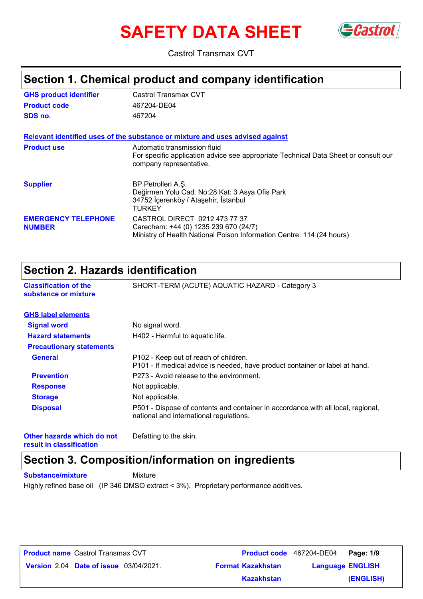# **SAFETY DATA SHEET** GCastrol



Castrol Transmax CVT

### **Section 1. Chemical product and company identification**

| <b>GHS product identifier</b>               | Castrol Transmax CVT                                                                                                                            |
|---------------------------------------------|-------------------------------------------------------------------------------------------------------------------------------------------------|
| <b>Product code</b>                         | 467204-DE04                                                                                                                                     |
| SDS no.                                     | 467204                                                                                                                                          |
|                                             | Relevant identified uses of the substance or mixture and uses advised against                                                                   |
| <b>Product use</b>                          | Automatic transmission fluid<br>For specific application advice see appropriate Technical Data Sheet or consult our<br>company representative.  |
| <b>Supplier</b>                             | BP Petrolleri A.S.<br>Değirmen Yolu Cad. No:28 Kat: 3 Asya Ofis Park<br>34752 İçerenköy / Ataşehir, İstanbul<br>TURKEY                          |
| <b>EMERGENCY TELEPHONE</b><br><b>NUMBER</b> | CASTROL DIRECT 0212 473 77 37<br>Carechem: +44 (0) 1235 239 670 (24/7)<br>Ministry of Health National Poison Information Centre: 114 (24 hours) |

### **Section 2. Hazards identification**

| Secuon 2. Hazarus identification                     |                                                                                                                             |  |
|------------------------------------------------------|-----------------------------------------------------------------------------------------------------------------------------|--|
| <b>Classification of the</b><br>substance or mixture | SHORT-TERM (ACUTE) AQUATIC HAZARD - Category 3                                                                              |  |
| <b>GHS label elements</b>                            |                                                                                                                             |  |
| <b>Signal word</b>                                   | No signal word.                                                                                                             |  |
| <b>Hazard statements</b>                             | H402 - Harmful to aquatic life.                                                                                             |  |
| <b>Precautionary statements</b>                      |                                                                                                                             |  |
| <b>General</b>                                       | P102 - Keep out of reach of children.<br>P101 - If medical advice is needed, have product container or label at hand.       |  |
| <b>Prevention</b>                                    | P273 - Avoid release to the environment.                                                                                    |  |
| <b>Response</b>                                      | Not applicable.                                                                                                             |  |
| <b>Storage</b>                                       | Not applicable.                                                                                                             |  |
| <b>Disposal</b>                                      | P501 - Dispose of contents and container in accordance with all local, regional,<br>national and international regulations. |  |

**Other hazards which do not result in classification**

Defatting to the skin.

# **Section 3. Composition/information on ingredients**

**Substance/mixture Mixture** 

Highly refined base oil (IP 346 DMSO extract < 3%). Proprietary performance additives.

| <b>Product name</b> Castrol Transmax CVT      |                          | Product code 467204-DE04 Page: 1/9 |           |
|-----------------------------------------------|--------------------------|------------------------------------|-----------|
| <b>Version 2.04 Date of issue 03/04/2021.</b> | <b>Format Kazakhstan</b> | <b>Language ENGLISH</b>            |           |
|                                               | <b>Kazakhstan</b>        |                                    | (ENGLISH) |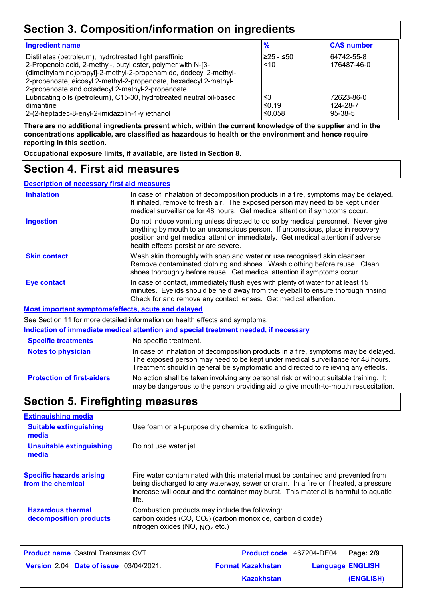# **Section 3. Composition/information on ingredients**

| <b>Ingredient name</b>                                               | $\frac{9}{6}$ | <b>CAS number</b> |
|----------------------------------------------------------------------|---------------|-------------------|
| Distillates (petroleum), hydrotreated light paraffinic               | $≥25 - ≤50$   | 64742-55-8        |
| 2-Propenoic acid, 2-methyl-, butyl ester, polymer with N-[3-         | ~10           | 176487-46-0       |
| (dimethylamino)propyl]-2-methyl-2-propenamide, dodecyl 2-methyl-     |               |                   |
| 2-propenoate, eicosyl 2-methyl-2-propenoate, hexadecyl 2-methyl-     |               |                   |
| 2-propenoate and octadecyl 2-methyl-2-propenoate                     |               |                   |
| Lubricating oils (petroleum), C15-30, hydrotreated neutral oil-based | ≤3            | 72623-86-0        |
| l dimantine                                                          | ≤0.19         | 124-28-7          |
| 2-(2-heptadec-8-enyl-2-imidazolin-1-yl)ethanol                       | ≤0.058        | $95-38-5$         |

**There are no additional ingredients present which, within the current knowledge of the supplier and in the concentrations applicable, are classified as hazardous to health or the environment and hence require reporting in this section.**

**Occupational exposure limits, if available, are listed in Section 8.**

### **Section 4. First aid measures**

**Description of necessary first aid measures**

| <b>Inhalation</b>                                  | In case of inhalation of decomposition products in a fire, symptoms may be delayed.<br>If inhaled, remove to fresh air. The exposed person may need to be kept under<br>medical surveillance for 48 hours. Get medical attention if symptoms occur.                                            |
|----------------------------------------------------|------------------------------------------------------------------------------------------------------------------------------------------------------------------------------------------------------------------------------------------------------------------------------------------------|
| <b>Ingestion</b>                                   | Do not induce vomiting unless directed to do so by medical personnel. Never give<br>anything by mouth to an unconscious person. If unconscious, place in recovery<br>position and get medical attention immediately. Get medical attention if adverse<br>health effects persist or are severe. |
| <b>Skin contact</b>                                | Wash skin thoroughly with soap and water or use recognised skin cleanser.<br>Remove contaminated clothing and shoes. Wash clothing before reuse. Clean<br>shoes thoroughly before reuse. Get medical attention if symptoms occur.                                                              |
| <b>Eye contact</b>                                 | In case of contact, immediately flush eyes with plenty of water for at least 15<br>minutes. Eyelids should be held away from the eyeball to ensure thorough rinsing.<br>Check for and remove any contact lenses. Get medical attention.                                                        |
| Most important symptoms/effects, acute and delayed |                                                                                                                                                                                                                                                                                                |
|                                                    | See Section 11 for more detailed information on health effects and symptoms.                                                                                                                                                                                                                   |
|                                                    | Indication of immediate medical attention and special treatment needed, if necessary                                                                                                                                                                                                           |
| <b>Specific treatments</b>                         | No specific treatment.                                                                                                                                                                                                                                                                         |
| Alatan ta akiatatan :                              | المحربجا والمساويات والمستحدث والمستحير والمتحافظ والمتحول والمتحدث والمتحام والمستحدث والمتحال والمتألف والمتحدث والمتحدث                                                                                                                                                                     |

| <b>Notes to physician</b>         | In case of inhalation of decomposition products in a fire, symptoms may be delayed.                                                                                         |
|-----------------------------------|-----------------------------------------------------------------------------------------------------------------------------------------------------------------------------|
|                                   | The exposed person may need to be kept under medical surveillance for 48 hours.                                                                                             |
|                                   | Treatment should in general be symptomatic and directed to relieving any effects.                                                                                           |
| <b>Protection of first-aiders</b> | No action shall be taken involving any personal risk or without suitable training. It<br>may be dangerous to the person providing aid to give mouth-to-mouth resuscitation. |

### **Section 5. Firefighting measures**

| <b>Extinguishing media</b>                           |                                                                                                                                                                                                                                                                          |
|------------------------------------------------------|--------------------------------------------------------------------------------------------------------------------------------------------------------------------------------------------------------------------------------------------------------------------------|
| <b>Suitable extinguishing</b><br>media               | Use foam or all-purpose dry chemical to extinguish.                                                                                                                                                                                                                      |
| <b>Unsuitable extinguishing</b><br>media             | Do not use water jet.                                                                                                                                                                                                                                                    |
| <b>Specific hazards arising</b><br>from the chemical | Fire water contaminated with this material must be contained and prevented from<br>being discharged to any waterway, sewer or drain. In a fire or if heated, a pressure<br>increase will occur and the container may burst. This material is harmful to aquatic<br>life. |
| <b>Hazardous thermal</b><br>decomposition products   | Combustion products may include the following:<br>carbon oxides (CO, CO <sub>2</sub> ) (carbon monoxide, carbon dioxide)<br>nitrogen oxides (NO, $NO2$ etc.)                                                                                                             |

| <b>Product name Castrol Transmax CVT</b>      |                          | Product code 467204-DE04 Page: 2/9 |           |
|-----------------------------------------------|--------------------------|------------------------------------|-----------|
| <b>Version 2.04 Date of issue 03/04/2021.</b> | <b>Format Kazakhstan</b> | <b>Language ENGLISH</b>            |           |
|                                               | <b>Kazakhstan</b>        |                                    | (ENGLISH) |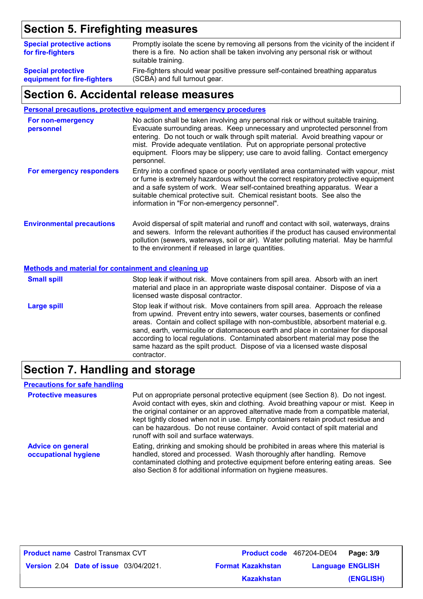# **Section 5. Firefighting measures**

| <b>Special protective actions</b><br>for fire-fighters | Promptly isolate the scene by removing all persons from the vicinity of the incident if<br>there is a fire. No action shall be taken involving any personal risk or without<br>suitable training. |
|--------------------------------------------------------|---------------------------------------------------------------------------------------------------------------------------------------------------------------------------------------------------|
| <b>Special protective</b>                              | Fire-fighters should wear positive pressure self-contained breathing apparatus                                                                                                                    |
| equipment for fire-fighters                            | (SCBA) and full turnout gear.                                                                                                                                                                     |

### **Section 6. Accidental release measures**

#### **Personal precautions, protective equipment and emergency procedures**

| For non-emergency<br>personnel   | No action shall be taken involving any personal risk or without suitable training.<br>Evacuate surrounding areas. Keep unnecessary and unprotected personnel from<br>entering. Do not touch or walk through spilt material. Avoid breathing vapour or<br>mist. Provide adequate ventilation. Put on appropriate personal protective<br>equipment. Floors may be slippery; use care to avoid falling. Contact emergency<br>personnel. |
|----------------------------------|--------------------------------------------------------------------------------------------------------------------------------------------------------------------------------------------------------------------------------------------------------------------------------------------------------------------------------------------------------------------------------------------------------------------------------------|
| For emergency responders         | Entry into a confined space or poorly ventilated area contaminated with vapour, mist<br>or fume is extremely hazardous without the correct respiratory protective equipment<br>and a safe system of work. Wear self-contained breathing apparatus. Wear a<br>suitable chemical protective suit. Chemical resistant boots. See also the<br>information in "For non-emergency personnel".                                              |
| <b>Environmental precautions</b> | Avoid dispersal of spilt material and runoff and contact with soil, waterways, drains<br>and sewers. Inform the relevant authorities if the product has caused environmental<br>pollution (sewers, waterways, soil or air). Water polluting material. May be harmful<br>to the environment if released in large quantities.                                                                                                          |

#### **Methods and material for containment and cleaning up**

| <b>Small spill</b> | Stop leak if without risk. Move containers from spill area. Absorb with an inert<br>material and place in an appropriate waste disposal container. Dispose of via a<br>licensed waste disposal contractor.                                                                                                                                                                                                                                                                                                               |
|--------------------|--------------------------------------------------------------------------------------------------------------------------------------------------------------------------------------------------------------------------------------------------------------------------------------------------------------------------------------------------------------------------------------------------------------------------------------------------------------------------------------------------------------------------|
| <b>Large spill</b> | Stop leak if without risk. Move containers from spill area. Approach the release<br>from upwind. Prevent entry into sewers, water courses, basements or confined<br>areas. Contain and collect spillage with non-combustible, absorbent material e.g.<br>sand, earth, vermiculite or diatomaceous earth and place in container for disposal<br>according to local regulations. Contaminated absorbent material may pose the<br>same hazard as the spilt product. Dispose of via a licensed waste disposal<br>contractor. |

### **Section 7. Handling and storage**

#### **Precautions for safe handling**

| <b>Protective measures</b>                       | Put on appropriate personal protective equipment (see Section 8). Do not ingest.<br>Avoid contact with eyes, skin and clothing. Avoid breathing vapour or mist. Keep in<br>the original container or an approved alternative made from a compatible material,<br>kept tightly closed when not in use. Empty containers retain product residue and<br>can be hazardous. Do not reuse container. Avoid contact of spilt material and<br>runoff with soil and surface waterways. |
|--------------------------------------------------|-------------------------------------------------------------------------------------------------------------------------------------------------------------------------------------------------------------------------------------------------------------------------------------------------------------------------------------------------------------------------------------------------------------------------------------------------------------------------------|
| <b>Advice on general</b><br>occupational hygiene | Eating, drinking and smoking should be prohibited in areas where this material is<br>handled, stored and processed. Wash thoroughly after handling. Remove<br>contaminated clothing and protective equipment before entering eating areas. See<br>also Section 8 for additional information on hygiene measures.                                                                                                                                                              |

**Product name** Castrol Transmax CVT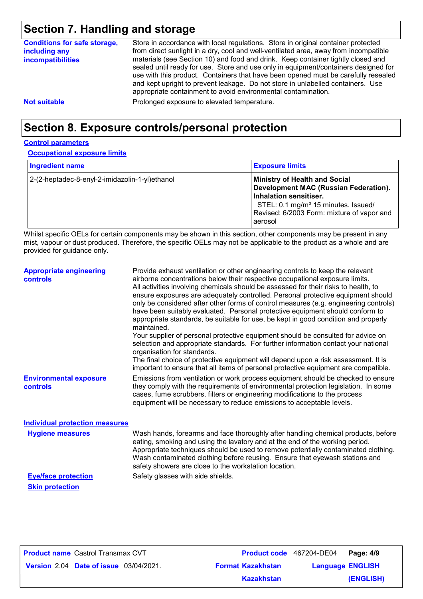# **Section 7. Handling and storage**

| <b>Conditions for safe storage,</b><br>including any<br><b>incompatibilities</b> | Store in accordance with local regulations. Store in original container protected<br>from direct sunlight in a dry, cool and well-ventilated area, away from incompatible<br>materials (see Section 10) and food and drink. Keep container tightly closed and<br>sealed until ready for use. Store and use only in equipment/containers designed for<br>use with this product. Containers that have been opened must be carefully resealed<br>and kept upright to prevent leakage. Do not store in unlabelled containers. Use<br>appropriate containment to avoid environmental contamination. |
|----------------------------------------------------------------------------------|------------------------------------------------------------------------------------------------------------------------------------------------------------------------------------------------------------------------------------------------------------------------------------------------------------------------------------------------------------------------------------------------------------------------------------------------------------------------------------------------------------------------------------------------------------------------------------------------|
| <b>Not suitable</b>                                                              | Prolonged exposure to elevated temperature.                                                                                                                                                                                                                                                                                                                                                                                                                                                                                                                                                    |

# **Section 8. Exposure controls/personal protection**

#### **Control parameters**

**Occupational exposure limits**

| <b>Ingredient name</b>                         | <b>Exposure limits</b>                                                                                                                                                                                              |
|------------------------------------------------|---------------------------------------------------------------------------------------------------------------------------------------------------------------------------------------------------------------------|
| 2-(2-heptadec-8-enyl-2-imidazolin-1-yl)ethanol | <b>Ministry of Health and Social</b><br>Development MAC (Russian Federation).<br>Inhalation sensitiser.<br>STEL: 0.1 mg/m <sup>3</sup> 15 minutes. Issued/<br>Revised: 6/2003 Form: mixture of vapor and<br>aerosol |

Whilst specific OELs for certain components may be shown in this section, other components may be present in any mist, vapour or dust produced. Therefore, the specific OELs may not be applicable to the product as a whole and are provided for guidance only.

| <b>Appropriate engineering</b><br><b>controls</b> | Provide exhaust ventilation or other engineering controls to keep the relevant<br>airborne concentrations below their respective occupational exposure limits.<br>All activities involving chemicals should be assessed for their risks to health, to<br>ensure exposures are adequately controlled. Personal protective equipment should<br>only be considered after other forms of control measures (e.g. engineering controls)<br>have been suitably evaluated. Personal protective equipment should conform to<br>appropriate standards, be suitable for use, be kept in good condition and properly<br>maintained.<br>Your supplier of personal protective equipment should be consulted for advice on<br>selection and appropriate standards. For further information contact your national<br>organisation for standards.<br>The final choice of protective equipment will depend upon a risk assessment. It is<br>important to ensure that all items of personal protective equipment are compatible. |
|---------------------------------------------------|---------------------------------------------------------------------------------------------------------------------------------------------------------------------------------------------------------------------------------------------------------------------------------------------------------------------------------------------------------------------------------------------------------------------------------------------------------------------------------------------------------------------------------------------------------------------------------------------------------------------------------------------------------------------------------------------------------------------------------------------------------------------------------------------------------------------------------------------------------------------------------------------------------------------------------------------------------------------------------------------------------------|
| <b>Environmental exposure</b><br><b>controls</b>  | Emissions from ventilation or work process equipment should be checked to ensure<br>they comply with the requirements of environmental protection legislation. In some<br>cases, fume scrubbers, filters or engineering modifications to the process<br>equipment will be necessary to reduce emissions to acceptable levels.                                                                                                                                                                                                                                                                                                                                                                                                                                                                                                                                                                                                                                                                                 |
| <b>Individual protection measures</b>             |                                                                                                                                                                                                                                                                                                                                                                                                                                                                                                                                                                                                                                                                                                                                                                                                                                                                                                                                                                                                               |
| <b>Hygiene measures</b>                           | Wash hands, forearms and face thoroughly after handling chemical products, before<br>eating, smoking and using the lavatory and at the end of the working period.<br>Appropriate techniques should be used to remove potentially contaminated clothing.<br>Wash contaminated clothing before reusing. Ensure that eyewash stations and<br>safety showers are close to the workstation location.                                                                                                                                                                                                                                                                                                                                                                                                                                                                                                                                                                                                               |

**Skin protection**

**Eye/face protection** Safety glasses with side shields.

| <b>Product name</b> Castrol Transmax CVT      |                          | Product code 467204-DE04 Page: 4/9 |           |
|-----------------------------------------------|--------------------------|------------------------------------|-----------|
| <b>Version 2.04 Date of issue 03/04/2021.</b> | <b>Format Kazakhstan</b> | <b>Language ENGLISH</b>            |           |
|                                               | <b>Kazakhstan</b>        |                                    | (ENGLISH) |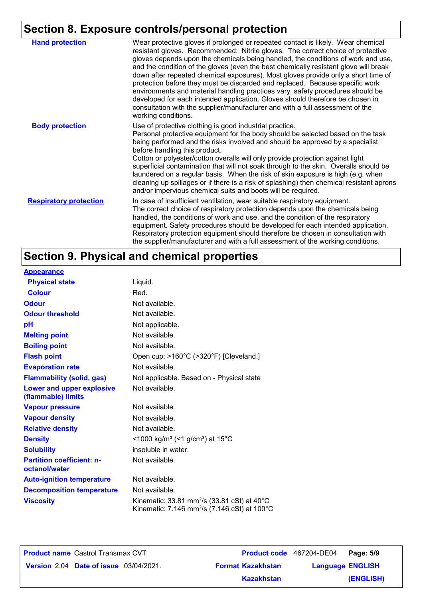# **Section 8. Exposure controls/personal protection**

| <b>Hand protection</b>        | Wear protective gloves if prolonged or repeated contact is likely. Wear chemical<br>resistant gloves. Recommended: Nitrile gloves. The correct choice of protective<br>gloves depends upon the chemicals being handled, the conditions of work and use,<br>and the condition of the gloves (even the best chemically resistant glove will break<br>down after repeated chemical exposures). Most gloves provide only a short time of<br>protection before they must be discarded and replaced. Because specific work<br>environments and material handling practices vary, safety procedures should be<br>developed for each intended application. Gloves should therefore be chosen in<br>consultation with the supplier/manufacturer and with a full assessment of the<br>working conditions. |
|-------------------------------|-------------------------------------------------------------------------------------------------------------------------------------------------------------------------------------------------------------------------------------------------------------------------------------------------------------------------------------------------------------------------------------------------------------------------------------------------------------------------------------------------------------------------------------------------------------------------------------------------------------------------------------------------------------------------------------------------------------------------------------------------------------------------------------------------|
| <b>Body protection</b>        | Use of protective clothing is good industrial practice.<br>Personal protective equipment for the body should be selected based on the task<br>being performed and the risks involved and should be approved by a specialist<br>before handling this product.<br>Cotton or polyester/cotton overalls will only provide protection against light<br>superficial contamination that will not soak through to the skin. Overalls should be<br>laundered on a regular basis. When the risk of skin exposure is high (e.g. when<br>cleaning up spillages or if there is a risk of splashing) then chemical resistant aprons<br>and/or impervious chemical suits and boots will be required.                                                                                                           |
| <b>Respiratory protection</b> | In case of insufficient ventilation, wear suitable respiratory equipment.<br>The correct choice of respiratory protection depends upon the chemicals being<br>handled, the conditions of work and use, and the condition of the respiratory<br>equipment. Safety procedures should be developed for each intended application.<br>Respiratory protection equipment should therefore be chosen in consultation with<br>the supplier/manufacturer and with a full assessment of the working conditions.                                                                                                                                                                                                                                                                                           |

# **Section 9. Physical and chemical properties**

| <b>Appearance</b>                                      |                                                                                                                               |
|--------------------------------------------------------|-------------------------------------------------------------------------------------------------------------------------------|
| <b>Physical state</b>                                  | Liquid.                                                                                                                       |
| <b>Colour</b>                                          | Red.                                                                                                                          |
| <b>Odour</b>                                           | Not available.                                                                                                                |
| <b>Odour threshold</b>                                 | Not available.                                                                                                                |
| pH                                                     | Not applicable.                                                                                                               |
| <b>Melting point</b>                                   | Not available.                                                                                                                |
| <b>Boiling point</b>                                   | Not available.                                                                                                                |
| <b>Flash point</b>                                     | Open cup: >160°C (>320°F) [Cleveland.]                                                                                        |
| <b>Evaporation rate</b>                                | Not available.                                                                                                                |
| <b>Flammability (solid, gas)</b>                       | Not applicable. Based on - Physical state                                                                                     |
| <b>Lower and upper explosive</b><br>(flammable) limits | Not available.                                                                                                                |
| <b>Vapour pressure</b>                                 | Not available.                                                                                                                |
| <b>Vapour density</b>                                  | Not available.                                                                                                                |
| <b>Relative density</b>                                | Not available.                                                                                                                |
| <b>Density</b>                                         | <1000 kg/m <sup>3</sup> (<1 g/cm <sup>3</sup> ) at 15°C                                                                       |
| <b>Solubility</b>                                      | insoluble in water.                                                                                                           |
| <b>Partition coefficient: n-</b><br>octanol/water      | Not available.                                                                                                                |
| <b>Auto-ignition temperature</b>                       | Not available.                                                                                                                |
| <b>Decomposition temperature</b>                       | Not available.                                                                                                                |
| <b>Viscosity</b>                                       | Kinematic: 33.81 mm <sup>2</sup> /s (33.81 cSt) at $40^{\circ}$ C<br>Kinematic: 7.146 mm <sup>2</sup> /s (7.146 cSt) at 100°C |

**Product name** Castrol Transmax CVT

**Date of issue** 03/04/2021. **Version** 2.04 **Format Kazakhstan Language** Castrol Transmax CVT **Page: 5/9** 467204-DE04 **Language ENGLISH (ENGLISH) Kazakhstan**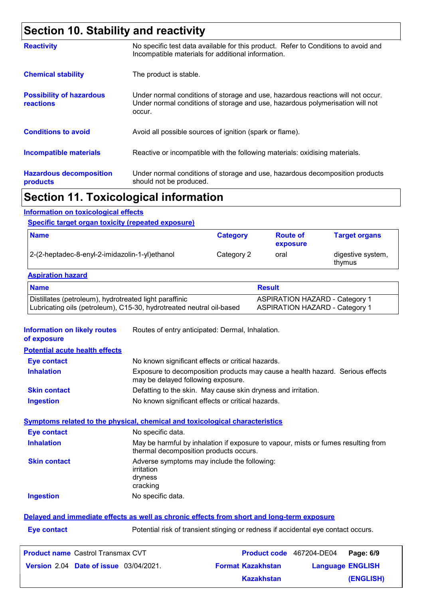# **Section 10. Stability and reactivity**

|                                                     | The continued to the contribution of the contribution of the contribution of the contribution of the                                                                       |
|-----------------------------------------------------|----------------------------------------------------------------------------------------------------------------------------------------------------------------------------|
| <b>Hazardous decomposition</b><br>products          | Under normal conditions of storage and use, hazardous decomposition products<br>should not be produced.                                                                    |
| <b>Incompatible materials</b>                       | Reactive or incompatible with the following materials: oxidising materials.                                                                                                |
| <b>Conditions to avoid</b>                          | Avoid all possible sources of ignition (spark or flame).                                                                                                                   |
| <b>Possibility of hazardous</b><br><b>reactions</b> | Under normal conditions of storage and use, hazardous reactions will not occur.<br>Under normal conditions of storage and use, hazardous polymerisation will not<br>occur. |
| <b>Chemical stability</b>                           | The product is stable.                                                                                                                                                     |
| <b>Reactivity</b>                                   | No specific test data available for this product. Refer to Conditions to avoid and<br>Incompatible materials for additional information.                                   |

### **Section 11. Toxicological information**

#### **Information on toxicological effects**

#### **Specific target organ toxicity (repeated exposure)**

| <b>Name</b>                                    | <b>Category</b> | <b>Route of</b><br>exposure | <b>Target organs</b>        |
|------------------------------------------------|-----------------|-----------------------------|-----------------------------|
| 2-(2-heptadec-8-enyl-2-imidazolin-1-yl)ethanol | Category 2      | oral                        | digestive system,<br>thymus |

#### **Aspiration hazard**

| <b>Name</b>                                                          | <b>Result</b>                         |
|----------------------------------------------------------------------|---------------------------------------|
| Distillates (petroleum), hydrotreated light paraffinic               | <b>ASPIRATION HAZARD - Category 1</b> |
| Lubricating oils (petroleum), C15-30, hydrotreated neutral oil-based | <b>ASPIRATION HAZARD - Category 1</b> |

**Information on likely routes**  Routes of entry anticipated: Dermal, Inhalation.

| of exposure |  |
|-------------|--|
|-------------|--|

**Potential acute health effects Inhalation** Exposure to decomposition products may cause a health hazard. Serious effects may be delayed following exposure. **Ingestion** No known significant effects or critical hazards. **Skin contact** Defatting to the skin. May cause skin dryness and irritation. **Eye contact** No known significant effects or critical hazards.

#### **Symptoms related to the physical, chemical and toxicological characteristics**

| <b>Eye contact</b>  | No specific data.                                                                                                           |
|---------------------|-----------------------------------------------------------------------------------------------------------------------------|
| <b>Inhalation</b>   | May be harmful by inhalation if exposure to vapour, mists or fumes resulting from<br>thermal decomposition products occurs. |
| <b>Skin contact</b> | Adverse symptoms may include the following:<br>irritation<br>dryness<br>cracking                                            |
| <b>Ingestion</b>    | No specific data.                                                                                                           |
|                     |                                                                                                                             |

#### **Delayed and immediate effects as well as chronic effects from short and long-term exposure**

**Eye contact** Potential risk of transient stinging or redness if accidental eye contact occurs.

| <b>Product name Castrol Transmax CVT</b>      |                          | Product code 467204-DE04 Page: 6/9 |           |
|-----------------------------------------------|--------------------------|------------------------------------|-----------|
| <b>Version 2.04 Date of issue 03/04/2021.</b> | <b>Format Kazakhstan</b> | <b>Language ENGLISH</b>            |           |
|                                               | <b>Kazakhstan</b>        |                                    | (ENGLISH) |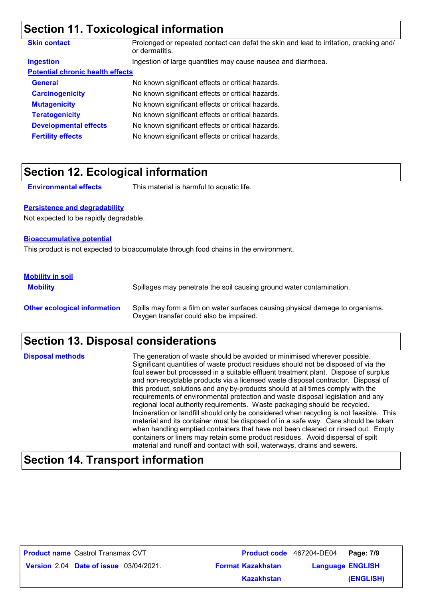### **Section 11. Toxicological information**

| <b>Skin contact</b>                     | Prolonged or repeated contact can defat the skin and lead to irritation, cracking and/<br>or dermatitis. |  |
|-----------------------------------------|----------------------------------------------------------------------------------------------------------|--|
| <b>Ingestion</b>                        | Ingestion of large quantities may cause nausea and diarrhoea.                                            |  |
| <b>Potential chronic health effects</b> |                                                                                                          |  |
| <b>General</b>                          | No known significant effects or critical hazards.                                                        |  |
| <b>Carcinogenicity</b>                  | No known significant effects or critical hazards.                                                        |  |
| <b>Mutagenicity</b>                     | No known significant effects or critical hazards.                                                        |  |
| <b>Teratogenicity</b>                   | No known significant effects or critical hazards.                                                        |  |
| <b>Developmental effects</b>            | No known significant effects or critical hazards.                                                        |  |
| <b>Fertility effects</b>                | No known significant effects or critical hazards.                                                        |  |

### **Section 12. Ecological information**

**Environmental effects** This material is harmful to aquatic life.

#### **Persistence and degradability**

Not expected to be rapidly degradable.

#### **Bioaccumulative potential**

This product is not expected to bioaccumulate through food chains in the environment.

#### **Mobility in soil**

**Mobility** Spillages may penetrate the soil causing ground water contamination. **Other ecological information** Spills may form a film on water surfaces causing physical damage to organisms. Oxygen transfer could also be impaired.

### **Section 13. Disposal considerations**

The generation of waste should be avoided or minimised wherever possible. Significant quantities of waste product residues should not be disposed of via the foul sewer but processed in a suitable effluent treatment plant. Dispose of surplus and non-recyclable products via a licensed waste disposal contractor. Disposal of this product, solutions and any by-products should at all times comply with the requirements of environmental protection and waste disposal legislation and any regional local authority requirements. Waste packaging should be recycled. Incineration or landfill should only be considered when recycling is not feasible. This material and its container must be disposed of in a safe way. Care should be taken when handling emptied containers that have not been cleaned or rinsed out. Empty containers or liners may retain some product residues. Avoid dispersal of spilt material and runoff and contact with soil, waterways, drains and sewers. **Disposal methods**

### **Section 14. Transport information**

| <b>Product name Castrol Transmax CVT</b>      |                          | <b>Product code</b> 467204-DE04 Page: 7/9 |           |
|-----------------------------------------------|--------------------------|-------------------------------------------|-----------|
| <b>Version 2.04 Date of issue 03/04/2021.</b> | <b>Format Kazakhstan</b> | <b>Language ENGLISH</b>                   |           |
|                                               | <b>Kazakhstan</b>        |                                           | (ENGLISH) |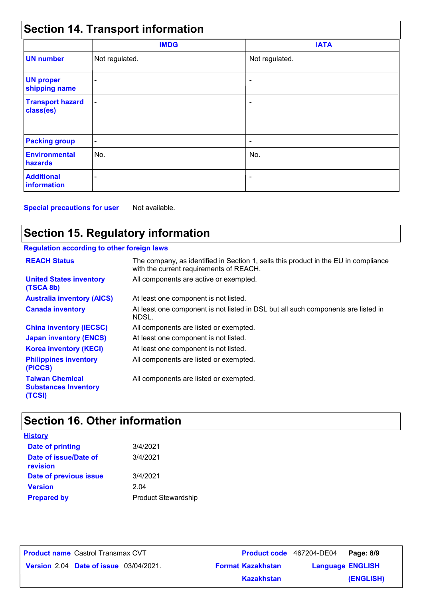| <b>Section 14. Transport information</b> |                          |                          |  |  |
|------------------------------------------|--------------------------|--------------------------|--|--|
|                                          | <b>IMDG</b>              | <b>IATA</b>              |  |  |
| <b>UN number</b>                         | Not regulated.           | Not regulated.           |  |  |
| <b>UN proper</b><br>shipping name        |                          |                          |  |  |
| <b>Transport hazard</b><br>class(es)     | $\overline{\phantom{a}}$ | ۰                        |  |  |
| <b>Packing group</b>                     | $\overline{\phantom{a}}$ | $\overline{\phantom{a}}$ |  |  |
| <b>Environmental</b><br>hazards          | No.                      | No.                      |  |  |
| <b>Additional</b><br><b>information</b>  |                          | $\overline{\phantom{a}}$ |  |  |

**Special precautions for user** Not available.

# **Section 15. Regulatory information**

### **Regulation according to other foreign laws**

| <b>REACH Status</b>                                             | The company, as identified in Section 1, sells this product in the EU in compliance<br>with the current requirements of REACH. |
|-----------------------------------------------------------------|--------------------------------------------------------------------------------------------------------------------------------|
| <b>United States inventory</b><br>(TSCA 8b)                     | All components are active or exempted.                                                                                         |
| <b>Australia inventory (AICS)</b>                               | At least one component is not listed.                                                                                          |
| <b>Canada inventory</b>                                         | At least one component is not listed in DSL but all such components are listed in<br>NDSL.                                     |
| <b>China inventory (IECSC)</b>                                  | All components are listed or exempted.                                                                                         |
| <b>Japan inventory (ENCS)</b>                                   | At least one component is not listed.                                                                                          |
| <b>Korea inventory (KECI)</b>                                   | At least one component is not listed.                                                                                          |
| <b>Philippines inventory</b><br>(PICCS)                         | All components are listed or exempted.                                                                                         |
| <b>Taiwan Chemical</b><br><b>Substances Inventory</b><br>(TCSI) | All components are listed or exempted.                                                                                         |

# **Section 16. Other information**

| <u>History</u>                    |                            |
|-----------------------------------|----------------------------|
| <b>Date of printing</b>           | 3/4/2021                   |
| Date of issue/Date of<br>revision | 3/4/2021                   |
| Date of previous issue            | 3/4/2021                   |
| <b>Version</b>                    | 2.04                       |
| <b>Prepared by</b>                | <b>Product Stewardship</b> |

**Date of issue** 03/04/2021. **Version** 2.04 **Format Kazakhstan Language** Castrol Transmax CVT **Page: 8/9** 467204-DE04 **Language ENGLISH (ENGLISH) Product name** Castrol Transmax CVT **Kazakhstan**